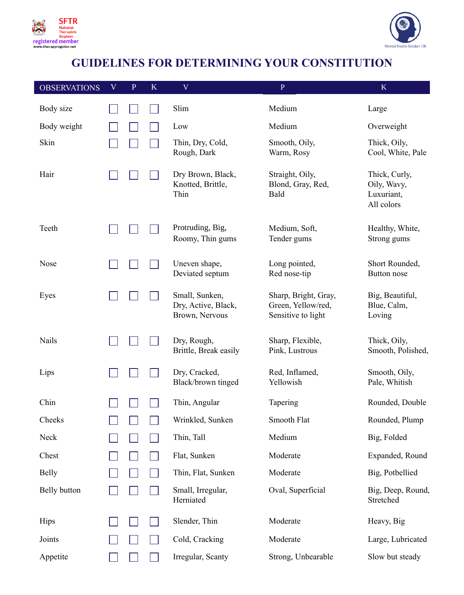



## **GUIDELINES FOR DETERMINING YOUR CONSTITUTION**

| <b>OBSERVATIONS</b> | $\boldsymbol{\mathrm{V}}$ | $\mathbf{P}$ | K | $\mathbf V$                                             | $\, {\bf P}$                                                     | $\mathbf K$                                              |
|---------------------|---------------------------|--------------|---|---------------------------------------------------------|------------------------------------------------------------------|----------------------------------------------------------|
| Body size           |                           |              |   | Slim                                                    | Medium                                                           | Large                                                    |
| Body weight         |                           |              |   | Low                                                     | Medium                                                           | Overweight                                               |
| Skin                |                           |              |   | Thin, Dry, Cold,<br>Rough, Dark                         | Smooth, Oily,<br>Warm, Rosy                                      | Thick, Oily,<br>Cool, White, Pale                        |
| Hair                |                           |              |   | Dry Brown, Black,<br>Knotted, Brittle,<br>Thin          | Straight, Oily,<br>Blond, Gray, Red,<br>Bald                     | Thick, Curly,<br>Oily, Wavy,<br>Luxuriant,<br>All colors |
| Teeth               |                           |              |   | Protruding, Big,<br>Roomy, Thin gums                    | Medium, Soft,<br>Tender gums                                     | Healthy, White,<br>Strong gums                           |
| <b>Nose</b>         |                           |              |   | Uneven shape,<br>Deviated septum                        | Long pointed,<br>Red nose-tip                                    | Short Rounded,<br>Button nose                            |
| Eyes                |                           |              |   | Small, Sunken,<br>Dry, Active, Black,<br>Brown, Nervous | Sharp, Bright, Gray,<br>Green, Yellow/red,<br>Sensitive to light | Big, Beautiful,<br>Blue, Calm,<br>Loving                 |
| Nails               |                           |              |   | Dry, Rough,<br>Brittle, Break easily                    | Sharp, Flexible,<br>Pink, Lustrous                               | Thick, Oily,<br>Smooth, Polished,                        |
| Lips                |                           |              |   | Dry, Cracked,<br>Black/brown tinged                     | Red, Inflamed,<br>Yellowish                                      | Smooth, Oily,<br>Pale, Whitish                           |
| Chin                |                           |              |   | Thin, Angular                                           | Tapering                                                         | Rounded, Double                                          |
| Cheeks              |                           |              |   | Wrinkled, Sunken                                        | <b>Smooth Flat</b>                                               | Rounded, Plump                                           |
| Neck                |                           |              |   | Thin, Tall                                              | Medium                                                           | Big, Folded                                              |
| Chest               |                           |              |   | Flat, Sunken                                            | Moderate                                                         | Expanded, Round                                          |
| <b>Belly</b>        |                           |              |   | Thin, Flat, Sunken                                      | Moderate                                                         | Big, Potbellied                                          |
| Belly button        |                           |              |   | Small, Irregular,<br>Herniated                          | Oval, Superficial                                                | Big, Deep, Round,<br>Stretched                           |
| <b>Hips</b>         |                           |              |   | Slender, Thin                                           | Moderate                                                         | Heavy, Big                                               |
| Joints              |                           |              |   | Cold, Cracking                                          | Moderate                                                         | Large, Lubricated                                        |
| Appetite            |                           |              |   | Irregular, Scanty                                       | Strong, Unbearable                                               | Slow but steady                                          |